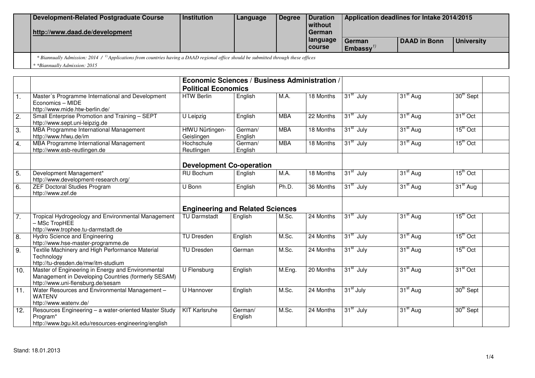| Development-Related Postgraduate Course<br>http://www.daad.de/development | l Institution        | Language | l Dearee | <b>I</b> Duration<br>l without<br>l German | Application deadlines for Intake 2014/2015 |              |            |
|---------------------------------------------------------------------------|----------------------|----------|----------|--------------------------------------------|--------------------------------------------|--------------|------------|
|                                                                           |                      |          |          | I language<br>l course                     | German<br>Embassy <sup>1/</sup>            | DAAD in Bonn | University |
| $\ldots$ and $\ldots$ and $\ldots$<br>.                                   | $\sim$ $\sim$ $\sim$ |          |          |                                            |                                            |              |            |

 *\* Biannually Admission: 2014 / 1) Applications from countries having a DAAD regional office should be submitted through these offices* 

*\* \*Biannually Admission: 2015* 

|                  |                                                                                                                                               | Economic Sciences / Business Administration /<br><b>Political Economics</b> |                    |            |           |                       |                      |                      |
|------------------|-----------------------------------------------------------------------------------------------------------------------------------------------|-----------------------------------------------------------------------------|--------------------|------------|-----------|-----------------------|----------------------|----------------------|
| 1.               | Master's Programme International and Development<br>Economics - MIDE<br>http://www.mide.htw-berlin.de/                                        | <b>HTW Berlin</b>                                                           | English            | M.A.       | 18 Months | 31 <sup>st</sup> July | 31 <sup>st</sup> Aug | 30th Sept            |
| 2.               | Small Enterprise Promotion and Training - SEPT<br>http://www.sept.uni-leipzig.de                                                              | U Leipzig                                                                   | English            | <b>MBA</b> | 22 Months | 31 <sup>st</sup> July | 31 <sup>st</sup> Aug | 31 <sup>st</sup> Oct |
| $\overline{3}$ . | MBA Programme International Management<br>http://www.hfwu.de/im                                                                               | HfWU Nürtingen-<br>Geislingen                                               | German/<br>English | <b>MBA</b> | 18 Months | 31 <sup>st</sup> July | 31 <sup>st</sup> Aug | $15th$ Oct           |
| 4.               | MBA Programme International Management<br>http://www.esb-reutlingen.de                                                                        | Hochschule<br>Reutlingen                                                    | German/<br>English | <b>MBA</b> | 18 Months | 31 <sup>st</sup> July | 31 <sup>st</sup> Aug | $15th$ Oct           |
|                  |                                                                                                                                               | <b>Development Co-operation</b>                                             |                    |            |           |                       |                      |                      |
| 5.               | Development Management*<br>http://www.development-research.org/                                                                               | RU Bochum                                                                   | English            | M.A.       | 18 Months | 31 <sup>st</sup> July | 31 <sup>st</sup> Aug | $15th$ Oct           |
| 6.               | <b>ZEF Doctoral Studies Program</b><br>http://www.zef.de                                                                                      | U Bonn                                                                      | English            | Ph.D.      | 36 Months | 31 <sup>st</sup> July | 31 <sup>st</sup> Aug | 31 <sup>st</sup> Aug |
|                  |                                                                                                                                               | <b>Engineering and Related Sciences</b>                                     |                    |            |           |                       |                      |                      |
| 7.               | Tropical Hydrogeology and Environmental Management<br>- MSc TropHEE<br>http://www.trophee.tu-darmstadt.de                                     | <b>TU Darmstadt</b>                                                         | English            | M.Sc.      | 24 Months | 31 <sup>st</sup> July | 31 <sup>st</sup> Aug | $15th$ Oct           |
| 8.               | Hydro Science and Engineering<br>http://www.hse-master-programme.de                                                                           | TU Dresden                                                                  | English            | M.Sc.      | 24 Months | 31 <sup>st</sup> July | 31 <sup>st</sup> Aug | $15th$ Oct           |
| 9.               | Textile Machinery and High Performance Material<br>Technology<br>http://tu-dresden.de/mw/itm-studium                                          | <b>TU Dresden</b>                                                           | German             | M.Sc.      | 24 Months | 31 <sup>st</sup> July | 31 <sup>st</sup> Aug | $15th$ Oct           |
| 10.              | Master of Engineering in Energy and Environmental<br>Management in Developing Countries (formerly SESAM)<br>http://www.uni-flensburg.de/sesam | U Flensburg                                                                 | English            | M.Eng.     | 20 Months | 31 <sup>st</sup> July | 31 <sup>st</sup> Aug | $31st$ Oct           |
| 11.              | Water Resources and Environmental Management -<br><b>WATENV</b><br>http://www.watenv.de/                                                      | U Hannover                                                                  | English            | M.Sc.      | 24 Months | 31 <sup>st</sup> July | 31 <sup>st</sup> Aug | 30th Sept            |
| 12.              | Resources Engineering - a water-oriented Master Study<br>Program*<br>http://www.bgu.kit.edu/resources-engineering/english                     | <b>KIT Karlsruhe</b>                                                        | German/<br>English | M.Sc.      | 24 Months | $31st$ July           | 31 <sup>st</sup> Aug | 30th Sept            |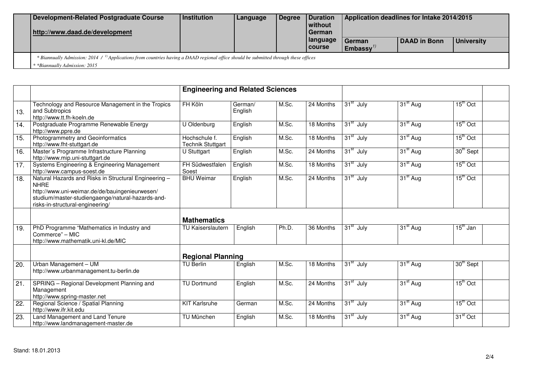| Development-Related Postgraduate Course<br>http://www.daad.de/development                                                                                                   | Institution | Language | Degree | Duration<br>without<br>l German | Application deadlines for Intake 2014/2015 |              |                   |  |  |
|-----------------------------------------------------------------------------------------------------------------------------------------------------------------------------|-------------|----------|--------|---------------------------------|--------------------------------------------|--------------|-------------------|--|--|
|                                                                                                                                                                             |             |          |        | language<br>l course            | German<br>Embassy $''$                     | DAAD in Bonn | <b>University</b> |  |  |
| * Biannually Admission: 2014 / $\mu$ Applications from countries having a DAAD regional office should be submitted through these offices<br>* *Biannually Admission: 2015 * |             |          |        |                                 |                                            |              |                   |  |  |

|                 |                                                                                                                                                                                                                 | <b>Engineering and Related Sciences</b>   |                    |       |                        |                       |                      |                       |
|-----------------|-----------------------------------------------------------------------------------------------------------------------------------------------------------------------------------------------------------------|-------------------------------------------|--------------------|-------|------------------------|-----------------------|----------------------|-----------------------|
| 13.             | Technology and Resource Management in the Tropics<br>and Subtropics<br>http://www.tt.fh-koeln.de                                                                                                                | FH Köln                                   | German/<br>English | M.Sc. | 24 Months              | $31st$ July           | 31 <sup>st</sup> Aug | $15th$ Oct            |
| 14.             | Postgraduate Programme Renewable Energy<br>http://www.ppre.de                                                                                                                                                   | U Oldenburg                               | English            | M.Sc. | 18 Months              | 31 <sup>st</sup> July | 31 <sup>st</sup> Aug | $15th$ Oct            |
| 15.             | Photogrammetry and Geoinformatics<br>http://www.fht-stuttgart.de                                                                                                                                                | Hochschule f.<br><b>Technik Stuttgart</b> | English            | M.Sc. | 18 Months              | 31 <sup>st</sup> July | 31 <sup>st</sup> Aug | $15th$ Oct            |
| 16.             | Master's Programme Infrastructure Planning<br>http://www.mip.uni-stuttgart.de                                                                                                                                   | U Stuttgart                               | English            | M.Sc. | 24 Months              | 31 <sup>st</sup> July | 31 <sup>st</sup> Aug | 30 <sup>th</sup> Sept |
| 17.             | Systems Engineering & Engineering Management<br>http://www.campus-soest.de                                                                                                                                      | FH Südwestfalen<br>Soest                  | English            | M.Sc. | 18 Months              | 31 <sup>st</sup> July | $31st$ Aug           | $15^{\text{th}}$ Oct  |
| 18.             | Natural Hazards and Risks in Structural Engineering -<br><b>NHRE</b><br>http://www.uni-weimar.de/de/bauingenieurwesen/<br>studium/master-studiengaenge/natural-hazards-and-<br>risks-in-structural-engineering/ | <b>BHU Weimar</b>                         | English            | M.Sc. | 24 Months              | 31 <sup>st</sup> July | 31 <sup>st</sup> Aug | $15th$ Oct            |
|                 |                                                                                                                                                                                                                 | <b>Mathematics</b>                        |                    |       |                        |                       |                      |                       |
| 19.             | PhD Programme "Mathematics in Industry and<br>Commerce" - MIC<br>http://www.mathematik.uni-kl.de/MIC                                                                                                            | TU Kaiserslautern                         | English            | Ph.D. | 36 Months              | 31 <sup>st</sup> July | $31st$ Aug           | 15 <sup>th</sup> Jan  |
|                 |                                                                                                                                                                                                                 | <b>Regional Planning</b>                  |                    |       |                        |                       |                      |                       |
| 20.             | Urban Management - UM<br>http://www.urbanmanagement.tu-berlin.de                                                                                                                                                | <b>TU Berlin</b>                          | English            | M.Sc. | $\overline{18}$ Months | 31 <sup>st</sup> July | 31 <sup>st</sup> Aug | $30th$ Sept           |
| 21.             | SPRING - Regional Development Planning and<br>Management<br>http://www.spring-master.net                                                                                                                        | <b>TU Dortmund</b>                        | English            | M.Sc. | 24 Months              | 31 <sup>st</sup> July | 31 <sup>st</sup> Aug | $15th$ Oct            |
| $\overline{22}$ | Regional Science / Spatial Planning<br>http://www.ifr.kit.edu                                                                                                                                                   | <b>KIT</b> Karlsruhe                      | German             | M.Sc. | 24 Months              | $31st$ July           | 31 <sup>st</sup> Aug | $15th$ Oct            |
| 23.             | Land Management and Land Tenure<br>http://www.landmanagement-master.de                                                                                                                                          | TU München                                | English            | M.Sc. | 18 Months              | 31 <sup>st</sup> July | 31 <sup>st</sup> Aug | 31 <sup>st</sup> Oct  |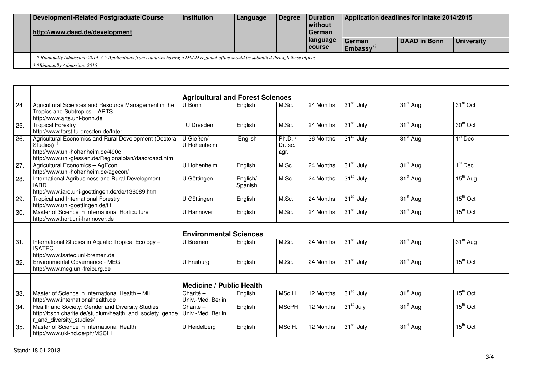| Development-Related Postgraduate Course<br>http://www.daad.de/development                                                                                                                   | Institution | Language | Degree | <b>Duration</b><br>without<br>l German | Application deadlines for Intake 2014/2015 |              |            |  |  |
|---------------------------------------------------------------------------------------------------------------------------------------------------------------------------------------------|-------------|----------|--------|----------------------------------------|--------------------------------------------|--------------|------------|--|--|
|                                                                                                                                                                                             |             |          |        | language<br>I course                   | German<br>$\sf I$ Embassv $''$             | DAAD in Bonn | University |  |  |
| <sup>8</sup> Biannually Admission: 2014 / <sup>1</sup> ) Applications from countries having a DAAD regional office should be submitted through these offices<br>*Biannually Admission: 2015 |             |          |        |                                        |                                            |              |            |  |  |

|                   |                                                                                                                                                                    | <b>Agricultural and Forest Sciences</b> |                     |                              |             |                       |                      |                      |
|-------------------|--------------------------------------------------------------------------------------------------------------------------------------------------------------------|-----------------------------------------|---------------------|------------------------------|-------------|-----------------------|----------------------|----------------------|
| $\overline{24}$ . | Agricultural Sciences and Resource Management in the<br>Tropics and Subtropics - ARTS<br>http://www.arts.uni-bonn.de                                               | U Bonn                                  | English             | M.Sc.                        | 24 Months   | $31st$ July           | 31 <sup>st</sup> Aug | 31 <sup>st</sup> Oct |
| 25.               | <b>Tropical Forestry</b><br>http://www.forst.tu-dresden.de/Inter                                                                                                   | <b>TU Dresden</b>                       | English             | M.Sc.                        | 24 Months   | 31 <sup>st</sup> July | 31 <sup>st</sup> Aug | 30th Oct             |
| 26.               | Agricultural Economics and Rural Development (Doctoral<br>Studies) $1$<br>http://www.uni-hohenheim.de/490c<br>http://www.uni-giessen.de/Regionalplan/daad/daad.htm | U Gießen/<br>U Hohenheim                | English             | Ph.D. $/$<br>Dr. sc.<br>agr. | 36 Months   | 31 <sup>st</sup> July | 31 <sup>st</sup> Aug | $1th$ Dec            |
| $\overline{27}$ . | Agricultural Economics - AgEcon<br>http://www.uni-hohenheim.de/agecon/                                                                                             | U Hohenheim                             | English             | M.Sc.                        | 24 Months   | 31 <sup>st</sup> July | 31 <sup>st</sup> Aug | $1st$ Dec            |
| 28.               | International Agribusiness and Rural Development -<br><b>IARD</b><br>http://www.iard.uni-goettingen.de/de/136089.html                                              | U Göttingen                             | English/<br>Spanish | M.Sc.                        | $24$ Months | 31 <sup>st</sup> July | 31 <sup>st</sup> Aug | $15th$ Aug           |
| 29.               | Tropical and International Forestry<br>http://www.uni-goettingen.de/tif                                                                                            | U Göttingen                             | English             | M.Sc.                        | 24 Months   | 31 <sup>st</sup> July | 31 <sup>st</sup> Aug | $15th$ Oct           |
| 30.               | Master of Science in International Horticulture<br>http://www.hort.uni-hannover.de                                                                                 | U Hannover                              | English             | M.Sc.                        | 24 Months   | 31 <sup>st</sup> July | 31 <sup>st</sup> Aug | $15th$ Oct           |
|                   |                                                                                                                                                                    | <b>Environmental Sciences</b>           |                     |                              |             |                       |                      |                      |
| 31.               | International Studies in Aquatic Tropical Ecology -<br><b>ISATEC</b><br>http://www.isatec.uni-bremen.de                                                            | U Bremen                                | English             | M.Sc.                        | 24 Months   | 31 <sup>st</sup> July | 31 <sup>st</sup> Aug | 31 <sup>th</sup> Aug |
| 32.               | Environmental Governance - MEG<br>http://www.meg.uni-freiburg.de                                                                                                   | U Freiburg                              | English             | M.Sc.                        | $24$ Months | $31st$ July           | 31 <sup>st</sup> Aug | $15th$ Oct           |
|                   |                                                                                                                                                                    | <b>Medicine / Public Health</b>         |                     |                              |             |                       |                      |                      |
| 33.               | Master of Science in International Health - MIH<br>http://www.internationalhealth.de                                                                               | Charité -<br>Univ.-Med. Berlin          | English             | MScIH.                       | 12 Months   | 31 <sup>st</sup> July | 31 <sup>st</sup> Aug | $15th$ Oct           |
| 34.               | Health and Society: Gender and Diversity Studies<br>http://bsph.charite.de/studium/health and society gende<br>r and diversity studies/                            | Charité -<br>Univ.-Med. Berlin          | English             | MScPH.                       | 12 Months   | 31 <sup>st</sup> July | 31 <sup>st</sup> Aug | $15th$ Oct           |
| $\overline{35}$   | Master of Science in International Health<br>http://www.ukl-hd.de/ph/MSCIH                                                                                         | U Heidelberg                            | English             | MScIH.                       | 12 Months   | 31 <sup>st</sup> July | $31st$ Aug           | $15th$ Oct           |